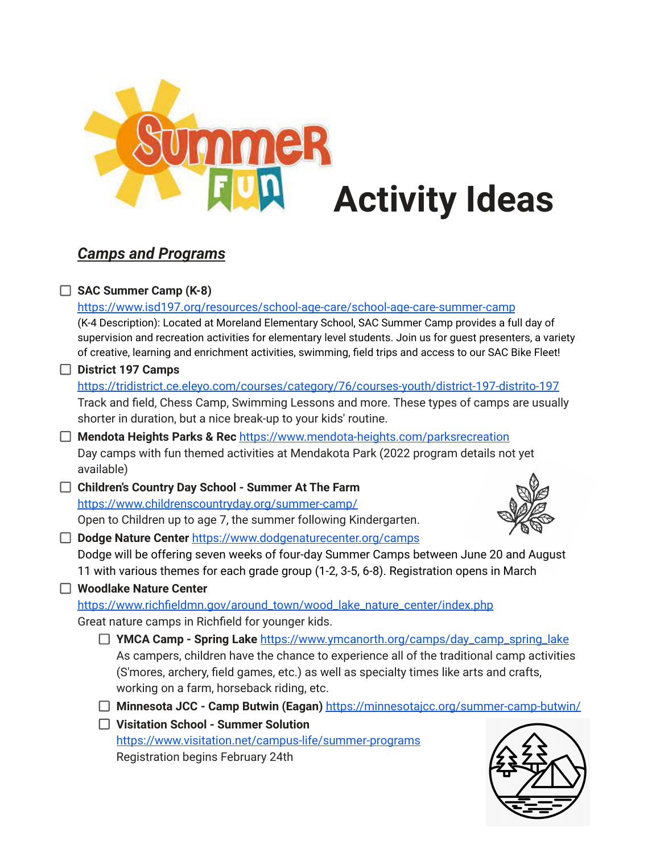

# *Camps and Programs*

## **SAC Summer Camp (K-8)**

<https://www.isd197.org/resources/school-age-care/school-age-care-summer-camp> (K-4 Description): Located at Moreland Elementary School, SAC Summer Camp provides a full day of supervision and recreation activities for elementary level students. Join us for guest presenters, a variety of creative, learning and enrichment activities, swimming, field trips and access to our SAC Bike Fleet! **District 197 Camps**

## <https://tridistrict.ce.eleyo.com/courses/category/76/courses-youth/district-197-distrito-197> Track and field, Chess Camp, Swimming Lessons and more. These types of camps are usually shorter in duration, but a nice break-up to your kids' routine.

- **Mendota Heights Parks & Rec** <https://www.mendota-heights.com/parksrecreation> Day camps with fun themed activities at Mendakota Park (2022 program details not yet available)
- **Children's Country Day School - Summer At The Farm** <https://www.childrenscountryday.org/summer-camp/> Open to Children up to age 7, the summer following Kindergarten.



**Dodge Nature Center** <https://www.dodgenaturecenter.org/camps> Dodge will be offering seven weeks of four-day Summer Camps between June 20 and August 11 with various themes for each grade group (1-2, 3-5, 6-8). Registration opens in March

#### **Woodlake Nature Center**

[https://www.richfieldmn.gov/around\\_town/wood\\_lake\\_nature\\_center/index.php](https://www.richfieldmn.gov/around_town/wood_lake_nature_center/index.php) Great nature camps in Richfield for younger kids.

- **YMCA Camp - Spring Lake** [https://www.ymcanorth.org/camps/day\\_camp\\_spring\\_lake](https://www.ymcanorth.org/camps/day_camp_spring_lake) As campers, children have the chance to experience all of the traditional camp activities (S'mores, archery, field games, etc.) as well as specialty times like arts and crafts, working on a farm, horseback riding, etc.
- **Minnesota JCC - Camp Butwin (Eagan)** <https://minnesotajcc.org/summer-camp-butwin/>
- **Visitation School - Summer Solution** <https://www.visitation.net/campus-life/summer-programs> Registration begins February 24th

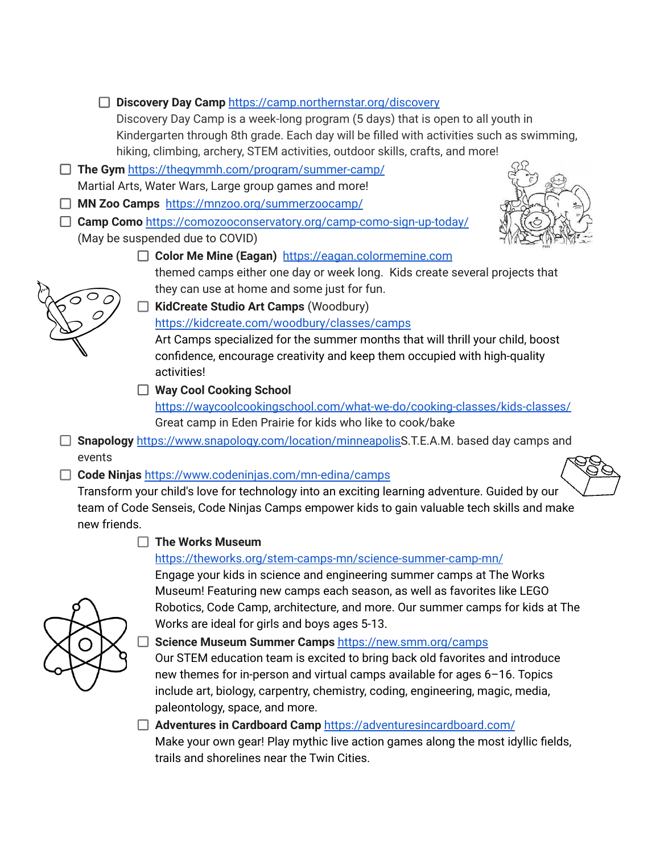



П. **Science Museum Summer Camps** <https://new.smm.org/camps>

Works are ideal for girls and boys ages 5-13.

Our STEM education team is excited to bring back old favorites and introduce new themes for in-person and virtual camps available for ages 6–16. Topics include art, biology, carpentry, chemistry, coding, engineering, magic, media, paleontology, space, and more.

Robotics, Code Camp, architecture, and more. Our summer camps for kids at The

#### **Adventures in Cardboard Camp** <https://adventuresincardboard.com/> Make your own gear! Play mythic live action games along the most idyllic fields, trails and shorelines near the Twin Cities.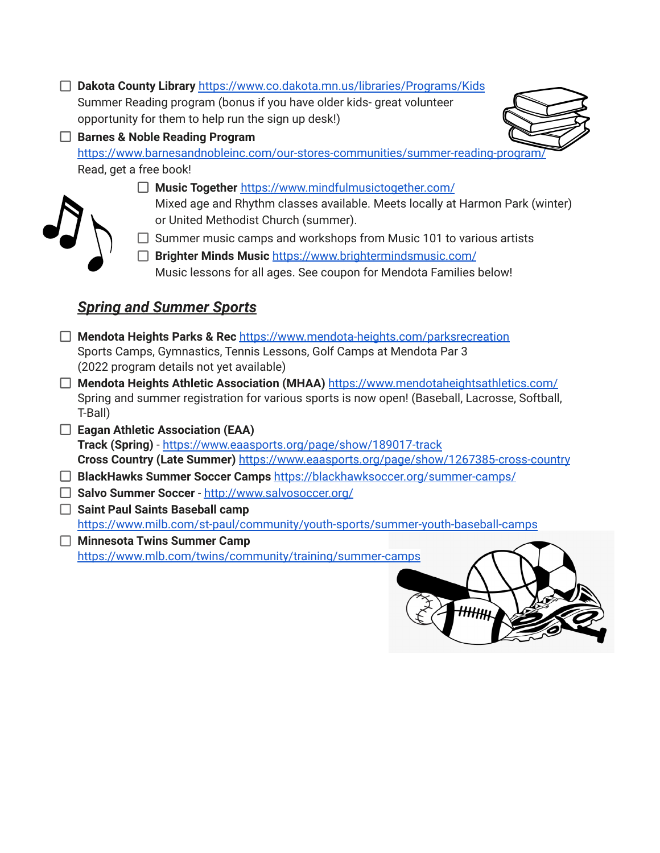| Dakota County Library https://www.co.dakota.mn.us/libraries/Programs/Kids<br>Summer Reading program (bonus if you have older kids- great volunteer |  |
|----------------------------------------------------------------------------------------------------------------------------------------------------|--|
|                                                                                                                                                    |  |
| opportunity for them to help run the sign up desk!)                                                                                                |  |
| <b>Barnes &amp; Noble Reading Program</b>                                                                                                          |  |
| https://www.barnesandnobleinc.com/our-stores-communities/summer-reading-program/                                                                   |  |
| Read, get a free book!                                                                                                                             |  |
| □ Music Together https://www.mindfulmusictogether.com/                                                                                             |  |
| Mixed age and Rhythm classes available. Meets locally at Harmon Park (winter)<br>or United Methodist Church (summer).                              |  |
| Summer music camps and workshops from Music 101 to various artists                                                                                 |  |
| Brighter Minds Music https://www.brightermindsmusic.com/                                                                                           |  |
| Music lessons for all ages. See coupon for Mendota Families below!                                                                                 |  |
|                                                                                                                                                    |  |
| <b>Spring and Summer Sports</b>                                                                                                                    |  |
|                                                                                                                                                    |  |
| Mendota Heights Parks & Rec https://www.mendota-heights.com/parksrecreation                                                                        |  |
| Sports Camps, Gymnastics, Tennis Lessons, Golf Camps at Mendota Par 3                                                                              |  |
| (2022 program details not yet available)                                                                                                           |  |
| Mendota Heights Athletic Association (MHAA) https://www.mendotaheightsathletics.com/                                                               |  |
| Spring and summer registration for various sports is now open! (Baseball, Lacrosse, Softball,                                                      |  |
| T-Ball)                                                                                                                                            |  |
| <b>Eagan Athletic Association (EAA)</b><br>Track (Spring) - https://www.eaasports.org/page/show/189017-track                                       |  |
| Cross Country (Late Summer) https://www.eaasports.org/page/show/1267385-cross-country                                                              |  |
| BlackHawks Summer Soccer Camps https://blackhawksoccer.org/summer-camps/                                                                           |  |
| Salvo Summer Soccer - http://www.salvosoccer.org/                                                                                                  |  |
| <b>Saint Paul Saints Baseball camp</b>                                                                                                             |  |
| https://www.milb.com/st-paul/community/youth-sports/summer-youth-baseball-camps                                                                    |  |
| <b>Minnesota Twins Summer Camp</b>                                                                                                                 |  |
| https://www.mlb.com/twins/community/training/summer-camps                                                                                          |  |
|                                                                                                                                                    |  |
|                                                                                                                                                    |  |